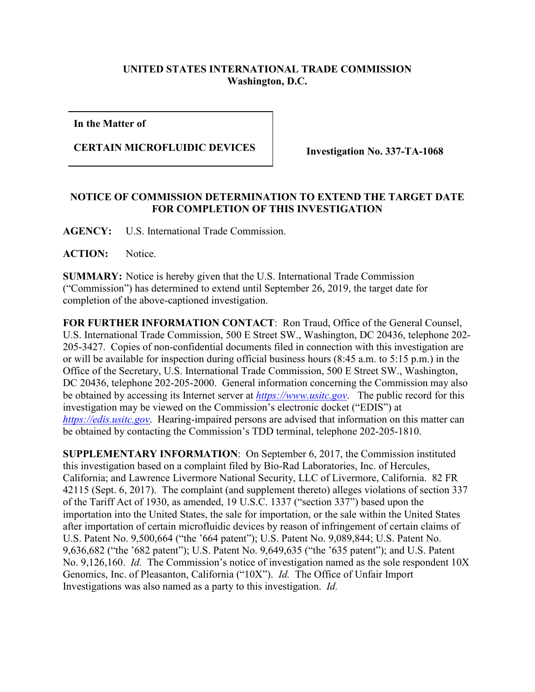## **UNITED STATES INTERNATIONAL TRADE COMMISSION Washington, D.C.**

**In the Matter of**

## **CERTAIN MICROFLUIDIC DEVICES Investigation No. 337-TA-1068**

## **NOTICE OF COMMISSION DETERMINATION TO EXTEND THE TARGET DATE FOR COMPLETION OF THIS INVESTIGATION**

**AGENCY:** U.S. International Trade Commission.

**ACTION:** Notice.

**SUMMARY:** Notice is hereby given that the U.S. International Trade Commission ("Commission") has determined to extend until September 26, 2019, the target date for completion of the above-captioned investigation.

**FOR FURTHER INFORMATION CONTACT**: Ron Traud, Office of the General Counsel, U.S. International Trade Commission, 500 E Street SW., Washington, DC 20436, telephone 202- 205-3427. Copies of non-confidential documents filed in connection with this investigation are or will be available for inspection during official business hours (8:45 a.m. to 5:15 p.m.) in the Office of the Secretary, U.S. International Trade Commission, 500 E Street SW., Washington, DC 20436, telephone 202-205-2000. General information concerning the Commission may also be obtained by accessing its Internet server at *[https://www.usitc.gov](https://www.usitc.gov/)*. The public record for this investigation may be viewed on the Commission's electronic docket ("EDIS") at *[https://edis.usitc.gov](https://edis.usitc.gov/)*. Hearing-impaired persons are advised that information on this matter can be obtained by contacting the Commission's TDD terminal, telephone 202-205-1810.

**SUPPLEMENTARY INFORMATION**: On September 6, 2017, the Commission instituted this investigation based on a complaint filed by Bio-Rad Laboratories, Inc. of Hercules, California; and Lawrence Livermore National Security, LLC of Livermore, California. 82 FR 42115 (Sept. 6, 2017). The complaint (and supplement thereto) alleges violations of section 337 of the Tariff Act of 1930, as amended, 19 U.S.C. 1337 ("section 337") based upon the importation into the United States, the sale for importation, or the sale within the United States after importation of certain microfluidic devices by reason of infringement of certain claims of U.S. Patent No. 9,500,664 ("the '664 patent"); U.S. Patent No. 9,089,844; U.S. Patent No. 9,636,682 ("the '682 patent"); U.S. Patent No. 9,649,635 ("the '635 patent"); and U.S. Patent No. 9,126,160. *Id.* The Commission's notice of investigation named as the sole respondent 10X Genomics, Inc. of Pleasanton, California ("10X"). *Id.* The Office of Unfair Import Investigations was also named as a party to this investigation. *Id.*